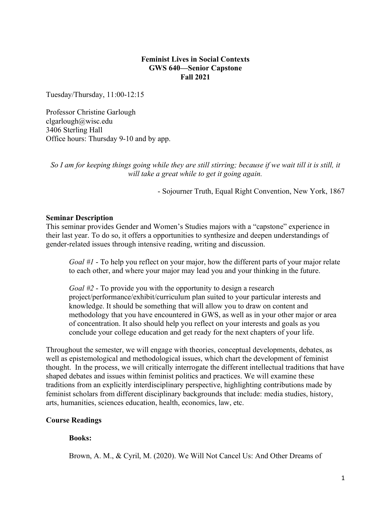### **Feminist Lives in Social Contexts GWS 640—Senior Capstone Fall 2021**

Tuesday/Thursday, 11:00-12:15

Professor Christine Garlough clgarlough@wisc.edu 3406 Sterling Hall Office hours: Thursday 9-10 and by app.

*So I am for keeping things going while they are still stirring; because if we wait till it is still, it will take a great while to get it going again.*

- Sojourner Truth, Equal Right Convention, New York, 1867

### **Seminar Description**

This seminar provides Gender and Women's Studies majors with a "capstone" experience in their last year. To do so, it offers a opportunities to synthesize and deepen understandings of gender-related issues through intensive reading, writing and discussion.

*Goal #1* - To help you reflect on your major, how the different parts of your major relate to each other, and where your major may lead you and your thinking in the future.

*Goal #2* - To provide you with the opportunity to design a research project/performance/exhibit/curriculum plan suited to your particular interests and knowledge. It should be something that will allow you to draw on content and methodology that you have encountered in GWS, as well as in your other major or area of concentration. It also should help you reflect on your interests and goals as you conclude your college education and get ready for the next chapters of your life.

Throughout the semester, we will engage with theories, conceptual developments, debates, as well as epistemological and methodological issues, which chart the development of feminist thought. In the process, we will critically interrogate the different intellectual traditions that have shaped debates and issues within feminist politics and practices. We will examine these traditions from an explicitly interdisciplinary perspective, highlighting contributions made by feminist scholars from different disciplinary backgrounds that include: media studies, history, arts, humanities, sciences education, health, economics, law, etc.

## **Course Readings**

## **Books:**

Brown, A. M., & Cyril, M. (2020). We Will Not Cancel Us: And Other Dreams of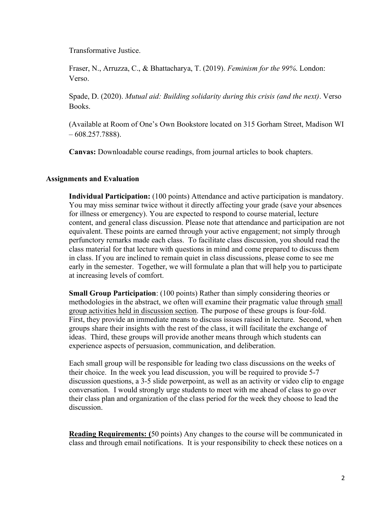Transformative Justice.

Fraser, N., Arruzza, C., & Bhattacharya, T. (2019). *Feminism for the 99%*. London: Verso.

Spade, D. (2020). *Mutual aid: Building solidarity during this crisis (and the next)*. Verso Books.

(Available at Room of One's Own Bookstore located on 315 Gorham Street, Madison WI  $-608.257.7888$ ).

**Canvas:** Downloadable course readings, from journal articles to book chapters.

## **Assignments and Evaluation**

**Individual Participation:** (100 points) Attendance and active participation is mandatory. You may miss seminar twice without it directly affecting your grade (save your absences for illness or emergency). You are expected to respond to course material, lecture content, and general class discussion. Please note that attendance and participation are not equivalent. These points are earned through your active engagement; not simply through perfunctory remarks made each class. To facilitate class discussion, you should read the class material for that lecture with questions in mind and come prepared to discuss them in class. If you are inclined to remain quiet in class discussions, please come to see me early in the semester. Together, we will formulate a plan that will help you to participate at increasing levels of comfort.

**Small Group Participation**: (100 points) Rather than simply considering theories or methodologies in the abstract, we often will examine their pragmatic value through small group activities held in discussion section. The purpose of these groups is four-fold. First, they provide an immediate means to discuss issues raised in lecture. Second, when groups share their insights with the rest of the class, it will facilitate the exchange of ideas. Third, these groups will provide another means through which students can experience aspects of persuasion, communication, and deliberation.

Each small group will be responsible for leading two class discussions on the weeks of their choice. In the week you lead discussion, you will be required to provide 5-7 discussion questions, a 3-5 slide powerpoint, as well as an activity or video clip to engage conversation. I would strongly urge students to meet with me ahead of class to go over their class plan and organization of the class period for the week they choose to lead the discussion.

**Reading Requirements: (**50 points) Any changes to the course will be communicated in class and through email notifications. It is your responsibility to check these notices on a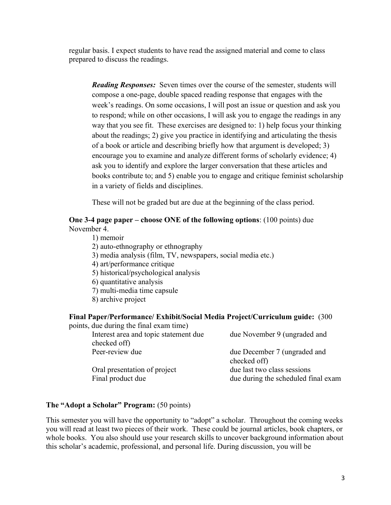regular basis. I expect students to have read the assigned material and come to class prepared to discuss the readings.

*Reading Responses:* Seven times over the course of the semester, students will compose a one-page, double spaced reading response that engages with the week's readings. On some occasions, I will post an issue or question and ask you to respond; while on other occasions, I will ask you to engage the readings in any way that you see fit. These exercises are designed to: 1) help focus your thinking about the readings; 2) give you practice in identifying and articulating the thesis of a book or article and describing briefly how that argument is developed; 3) encourage you to examine and analyze different forms of scholarly evidence; 4) ask you to identify and explore the larger conversation that these articles and books contribute to; and 5) enable you to engage and critique feminist scholarship in a variety of fields and disciplines.

These will not be graded but are due at the beginning of the class period.

## **One 3-4 page paper – choose ONE of the following options**: (100 points) due November 4.

1) memoir 2) auto-ethnography or ethnography 3) media analysis (film, TV, newspapers, social media etc.) 4) art/performance critique 5) historical/psychological analysis 6) quantitative analysis 7) multi-media time capsule 8) archive project

## **Final Paper/Performance/ Exhibit/Social Media Project/Curriculum guide:** (300

| points, due during the final exam time) |                                     |
|-----------------------------------------|-------------------------------------|
| Interest area and topic statement due   | due November 9 (ungraded and        |
| checked off)                            |                                     |
| Peer-review due                         | due December 7 (ungraded and        |
|                                         | checked off)                        |
| Oral presentation of project            | due last two class sessions         |
| Final product due                       | due during the scheduled final exam |
|                                         |                                     |

## **The "Adopt a Scholar" Program:** (50 points)

This semester you will have the opportunity to "adopt" a scholar. Throughout the coming weeks you will read at least two pieces of their work. These could be journal articles, book chapters, or whole books. You also should use your research skills to uncover background information about this scholar's academic, professional, and personal life. During discussion, you will be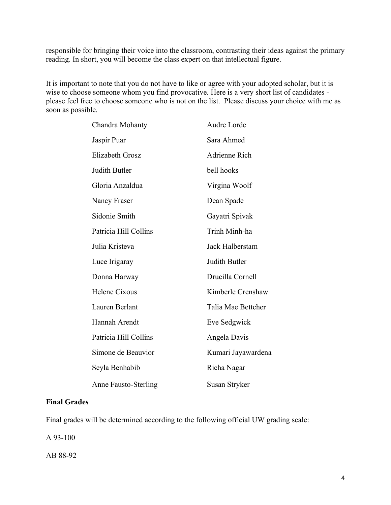responsible for bringing their voice into the classroom, contrasting their ideas against the primary reading. In short, you will become the class expert on that intellectual figure.

It is important to note that you do not have to like or agree with your adopted scholar, but it is wise to choose someone whom you find provocative. Here is a very short list of candidates please feel free to choose someone who is not on the list. Please discuss your choice with me as soon as possible.

| Chandra Mohanty             | Audre Lorde        |
|-----------------------------|--------------------|
| Jaspir Puar                 | Sara Ahmed         |
| Elizabeth Grosz             | Adrienne Rich      |
| Judith Butler               | bell hooks         |
| Gloria Anzaldua             | Virgina Woolf      |
| Nancy Fraser                | Dean Spade         |
| Sidonie Smith               | Gayatri Spivak     |
| Patricia Hill Collins       | Trinh Minh-ha      |
| Julia Kristeva              | Jack Halberstam    |
| Luce Irigaray               | Judith Butler      |
| Donna Harway                | Drucilla Cornell   |
| Helene Cixous               | Kimberle Crenshaw  |
| Lauren Berlant              | Talia Mae Bettcher |
| Hannah Arendt               | Eve Sedgwick       |
| Patricia Hill Collins       | Angela Davis       |
| Simone de Beauvior          | Kumari Jayawardena |
| Seyla Benhabib              | Richa Nagar        |
| <b>Anne Fausto-Sterling</b> | Susan Stryker      |

### **Final Grades**

Final grades will be determined according to the following official UW grading scale:

A 93-100

AB 88-92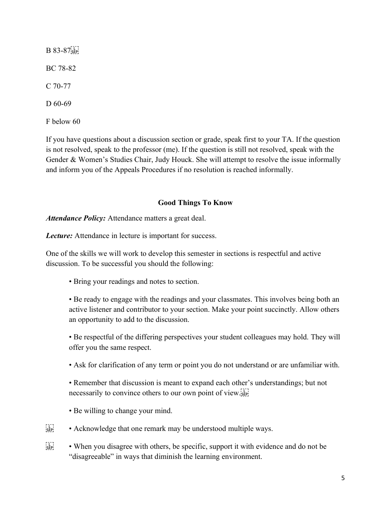B 83-87<sup>[1]</sup> BC 78-82 C 70-77 D 60-69 F below 60

If you have questions about a discussion section or grade, speak first to your TA. If the question is not resolved, speak to the professor (me). If the question is still not resolved, speak with the Gender & Women's Studies Chair, Judy Houck. She will attempt to resolve the issue informally and inform you of the Appeals Procedures if no resolution is reached informally.

# **Good Things To Know**

*Attendance Policy:* Attendance matters a great deal.

*Lecture:* Attendance in lecture is important for success.

One of the skills we will work to develop this semester in sections is respectful and active discussion. To be successful you should the following:

• Bring your readings and notes to section.

• Be ready to engage with the readings and your classmates. This involves being both an active listener and contributor to your section. Make your point succinctly. Allow others an opportunity to add to the discussion.

• Be respectful of the differing perspectives your student colleagues may hold. They will offer you the same respect.

• Ask for clarification of any term or point you do not understand or are unfamiliar with.

• Remember that discussion is meant to expand each other's understandings; but not necessarily to convince others to our own point of view.

- Be willing to change your mind.
- $\mathcal{E}^{\text{TT}}_{\text{SEP}}$  Acknowledge that one remark may be understood multiple ways.
- $\frac{f_1 f_2}{f_2}$  When you disagree with others, be specific, support it with evidence and do not be "disagreeable" in ways that diminish the learning environment.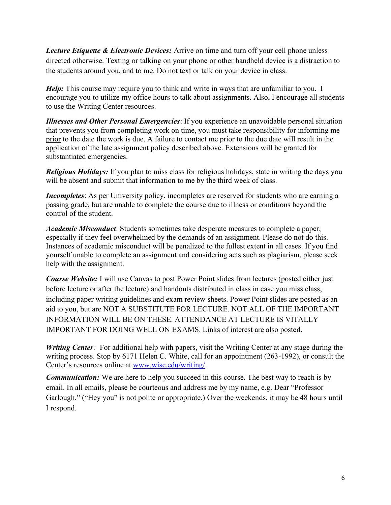*Lecture Etiquette & Electronic Devices:* Arrive on time and turn off your cell phone unless directed otherwise. Texting or talking on your phone or other handheld device is a distraction to the students around you, and to me. Do not text or talk on your device in class.

*Help*: This course may require you to think and write in ways that are unfamiliar to you. I encourage you to utilize my office hours to talk about assignments. Also, I encourage all students to use the Writing Center resources.

*Illnesses and Other Personal Emergencies*: If you experience an unavoidable personal situation that prevents you from completing work on time, you must take responsibility for informing me prior to the date the work is due. A failure to contact me prior to the due date will result in the application of the late assignment policy described above. Extensions will be granted for substantiated emergencies.

*Religious Holidays:* If you plan to miss class for religious holidays, state in writing the days you will be absent and submit that information to me by the third week of class.

*Incompletes*: As per University policy, incompletes are reserved for students who are earning a passing grade, but are unable to complete the course due to illness or conditions beyond the control of the student.

*Academic Misconduct*: Students sometimes take desperate measures to complete a paper, especially if they feel overwhelmed by the demands of an assignment. Please do not do this. Instances of academic misconduct will be penalized to the fullest extent in all cases. If you find yourself unable to complete an assignment and considering acts such as plagiarism, please seek help with the assignment.

*Course Website:* I will use Canvas to post Power Point slides from lectures (posted either just before lecture or after the lecture) and handouts distributed in class in case you miss class, including paper writing guidelines and exam review sheets. Power Point slides are posted as an aid to you, but are NOT A SUBSTITUTE FOR LECTURE. NOT ALL OF THE IMPORTANT INFORMATION WILL BE ON THESE. ATTENDANCE AT LECTURE IS VITALLY IMPORTANT FOR DOING WELL ON EXAMS. Links of interest are also posted.

*Writing Center*: For additional help with papers, visit the Writing Center at any stage during the writing process. Stop by 6171 Helen C. White, call for an appointment (263-1992), or consult the Center's resources online at [www.wisc.edu/writing/.](http://www.wisc.edu/writing/)

*Communication:* We are here to help you succeed in this course. The best way to reach is by email. In all emails, please be courteous and address me by my name, e.g. Dear "Professor Garlough." ("Hey you" is not polite or appropriate.) Over the weekends, it may be 48 hours until I respond.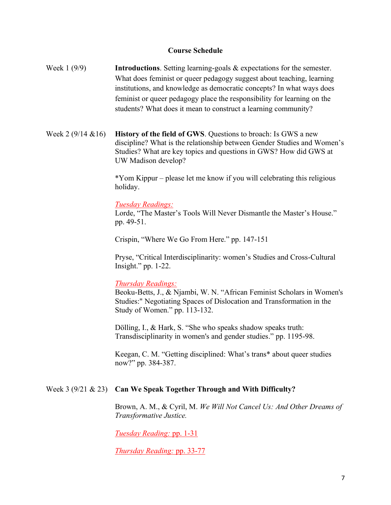### **Course Schedule**

- Week 1 (9/9) **Introductions**. Setting learning-goals & expectations for the semester. What does feminist or queer pedagogy suggest about teaching, learning institutions, and knowledge as democratic concepts? In what ways does feminist or queer pedagogy place the responsibility for learning on the students? What does it mean to construct a learning community?
- Week 2 (9/14 &16) **History of the field of GWS**. Questions to broach: Is GWS a new discipline? What is the relationship between Gender Studies and Women's Studies? What are key topics and questions in GWS? How did GWS at UW Madison develop?

\*Yom Kippur – please let me know if you will celebrating this religious holiday.

#### *Tuesday Readings:*

Lorde, "The Master's Tools Will Never Dismantle the Master's House." pp. 49-51.

Crispin, "Where We Go From Here." pp. 147-151

Pryse, "Critical Interdisciplinarity: women's Studies and Cross-Cultural Insight." pp. 1-22.

#### *Thursday Readings:*

Beoku-Betts, J., & Njambi, W. N. "African Feminist Scholars in Women's Studies:" Negotiating Spaces of Dislocation and Transformation in the Study of Women." pp. 113-132.

Dölling, I., & Hark, S. "She who speaks shadow speaks truth: Transdisciplinarity in women's and gender studies." pp. 1195-98.

Keegan, C. M. "Getting disciplined: What's trans\* about queer studies now?" pp. 384-387.

#### Week 3 (9/21 & 23) **Can We Speak Together Through and With Difficulty?**

Brown, A. M., & Cyril, M. *We Will Not Cancel Us: And Other Dreams of Transformative Justice.*

*Tuesday Reading:* pp. 1-31

*Thursday Reading:* pp. 33-77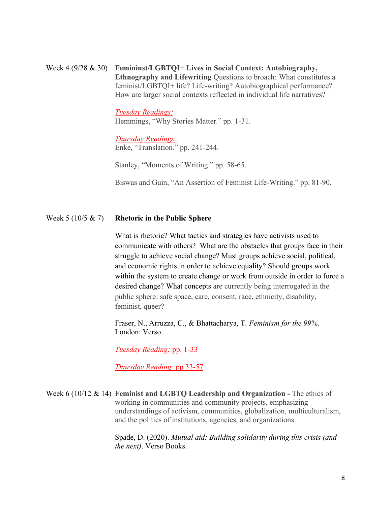Week 4 (9/28 & 30) **Femininst/LGBTQI+ Lives in Social Context: Autobiography, Ethnography and Lifewriting** Questions to broach: What constitutes a feminist/LGBTQI+ life? Life-writing? Autobiographical performance? How are larger social contexts reflected in individual life narratives?

> *Tuesday Readings:* Hemmings, "Why Stories Matter." pp. 1-31.

*Thursday Readings:* Enke, "Translation." pp. 241-244.

Stanley, "Moments of Writing." pp. 58-65.

Biswas and Guin, "An Assertion of Feminist Life-Writing." pp. 81-90.

### Week 5 (10/5 & 7) **Rhetoric in the Public Sphere**

What is rhetoric? What tactics and strategies have activists used to communicate with others? What are the obstacles that groups face in their struggle to achieve social change? Must groups achieve social, political, and economic rights in order to achieve equality? Should groups work within the system to create change or work from outside in order to force a desired change? What concepts are currently being interrogated in the public sphere: safe space, care, consent, race, ethnicity, disability, feminist, queer?

Fraser, N., Arruzza, C., & Bhattacharya, T. *Feminism for the 99%*. London: Verso.

*Tuesday Reading:* pp. 1-33

*Thursday Reading:* pp 33-57

Week 6 (10/12 & 14) **Feminist and LGBTQ Leadership and Organization -** The ethics of working in communities and community projects, emphasizing understandings of activism, communities, globalization, multiculturalism, and the politics of institutions, agencies, and organizations.

> Spade, D. (2020). *Mutual aid: Building solidarity during this crisis (and the next)*. Verso Books.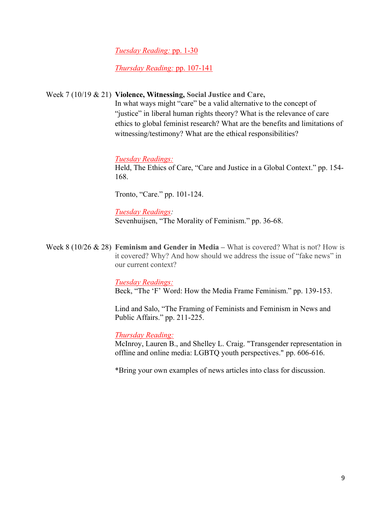*Tuesday Reading:* pp. 1-30

*Thursday Reading:* pp. 107-141

Week 7 (10/19 & 21) **Violence, Witnessing, Social Justice and Care,**

In what ways might "care" be a valid alternative to the concept of "justice" in liberal human rights theory? What is the relevance of care ethics to global feminist research? What are the benefits and limitations of witnessing/testimony? What are the ethical responsibilities?

### *Tuesday Readings:*

Held, The Ethics of Care, "Care and Justice in a Global Context." pp. 154- 168.

Tronto, "Care." pp. 101-124.

*Tuesday Readings:*

Sevenhuijsen, "The Morality of Feminism." pp. 36-68.

Week 8 (10/26 & 28) **Feminism and Gender in Media –** What is covered? What is not? How is it covered? Why? And how should we address the issue of "fake news" in our current context?

> *Tuesday Readings:* Beck, "The 'F' Word: How the Media Frame Feminism." pp. 139-153.

> Lind and Salo, "The Framing of Feminists and Feminism in News and Public Affairs." pp. 211-225.

*Thursday Reading:*

McInroy, Lauren B., and Shelley L. Craig. "Transgender representation in offline and online media: LGBTQ youth perspectives." pp. 606-616.

\*Bring your own examples of news articles into class for discussion.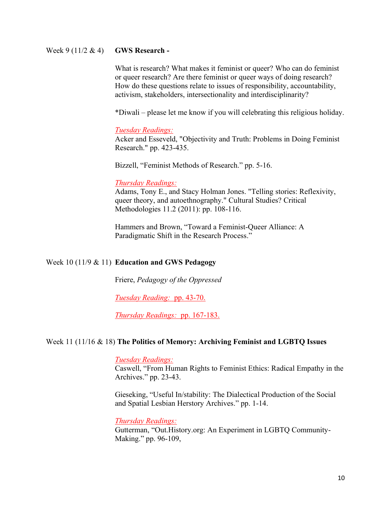### Week 9 (11/2 & 4) **GWS Research -**

What is research? What makes it feminist or queer? Who can do feminist or queer research? Are there feminist or queer ways of doing research? How do these questions relate to issues of responsibility, accountability, activism, stakeholders, intersectionality and interdisciplinarity?

\*Diwali – please let me know if you will celebrating this religious holiday.

#### *Tuesday Readings:*

Acker and Esseveld, "Objectivity and Truth: Problems in Doing Feminist Research." pp. 423-435.

Bizzell, "Feminist Methods of Research." pp. 5-16.

#### *Thursday Readings:*

Adams, Tony E., and Stacy Holman Jones. "Telling stories: Reflexivity, queer theory, and autoethnography." Cultural Studies? Critical Methodologies 11.2 (2011): pp. 108-116.

Hammers and Brown, "Toward a Feminist-Queer Alliance: A Paradigmatic Shift in the Research Process."

### Week 10 (11/9 & 11) **Education and GWS Pedagogy**

Friere, *Pedagogy of the Oppressed*

*Tuesday Reading:* pp. 43-70.

*Thursday Readings:* pp. 167-183.

### Week 11 (11/16 & 18) **The Politics of Memory: Archiving Feminist and LGBTQ Issues**

*Tuesday Readings:*

Caswell, "From Human Rights to Feminist Ethics: Radical Empathy in the Archives." pp. 23-43.

Gieseking, "Useful In/stability: The Dialectical Production of the Social and Spatial Lesbian Herstory Archives." pp. 1-14.

*Thursday Readings:*

Gutterman, "Out.History.org: An Experiment in LGBTQ Community-Making." pp. 96-109,